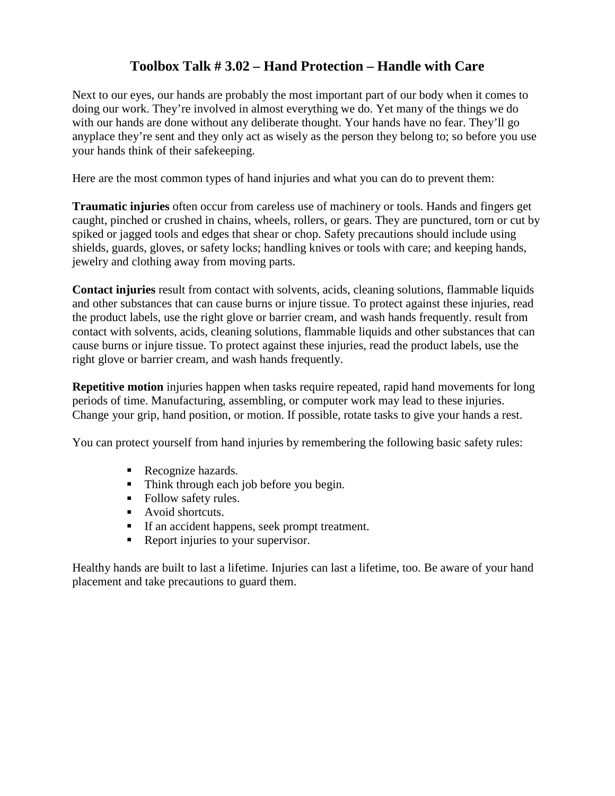## **Toolbox Talk # 3.02 – Hand Protection – Handle with Care**

Next to our eyes, our hands are probably the most important part of our body when it comes to doing our work. They're involved in almost everything we do. Yet many of the things we do with our hands are done without any deliberate thought. Your hands have no fear. They'll go anyplace they're sent and they only act as wisely as the person they belong to; so before you use your hands think of their safekeeping.

Here are the most common types of hand injuries and what you can do to prevent them:

**Traumatic injuries** often occur from careless use of machinery or tools. Hands and fingers get caught, pinched or crushed in chains, wheels, rollers, or gears. They are punctured, torn or cut by spiked or jagged tools and edges that shear or chop. Safety precautions should include using shields, guards, gloves, or safety locks; handling knives or tools with care; and keeping hands, jewelry and clothing away from moving parts.

**Contact injuries** result from contact with solvents, acids, cleaning solutions, flammable liquids and other substances that can cause burns or injure tissue. To protect against these injuries, read the product labels, use the right glove or barrier cream, and wash hands frequently. result from contact with solvents, acids, cleaning solutions, flammable liquids and other substances that can cause burns or injure tissue. To protect against these injuries, read the product labels, use the right glove or barrier cream, and wash hands frequently.

**Repetitive motion** injuries happen when tasks require repeated, rapid hand movements for long periods of time. Manufacturing, assembling, or computer work may lead to these injuries. Change your grip, hand position, or motion. If possible, rotate tasks to give your hands a rest.

You can protect yourself from hand injuries by remembering the following basic safety rules:

- Recognize hazards.
- Think through each job before you begin.
- Follow safety rules.
- Avoid shortcuts.
- If an accident happens, seek prompt treatment.
- Report injuries to your supervisor.

Healthy hands are built to last a lifetime. Injuries can last a lifetime, too. Be aware of your hand placement and take precautions to guard them.